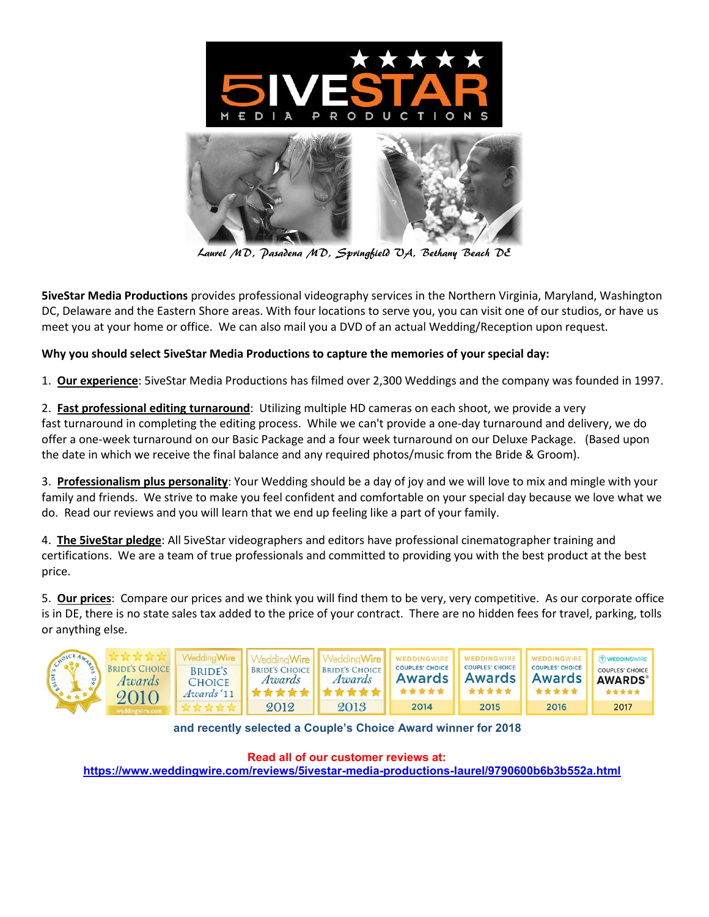

Laurel MD, Pasadena MD, Springfield VA, Bethany Beach DE

**5iveStar Media Productions** provides professional videography services in the Northern Virginia, Maryland, Washington DC, Delaware and the Eastern Shore areas. With four locations to serve you, you can visit one of our studios, or have us meet you at your home or office. We can also mail you a DVD of an actual Wedding/Reception upon request.

#### **Why you should select 5iveStar Media Productions to capture the memories of your special day:**

1. **Our experience**: 5iveStar Media Productions has filmed over 2,300 Weddings and the company was founded in 1997.

2. **Fast professional editing turnaround**: Utilizing multiple HD cameras on each shoot, we provide a very fast turnaround in completing the editing process. While we can't provide a one-day turnaround and delivery, we do offer a one-week turnaround on our Basic Package and a four week turnaround on our Deluxe Package. (Based upon the date in which we receive the final balance and any required photos/music from the Bride & Groom).

3. **Professionalism plus personality**: Your Wedding should be a day of joy and we will love to mix and mingle with your family and friends. We strive to make you feel confident and comfortable on your special day because we love what we do. Read our reviews and you will learn that we end up feeling like a part of your family.

4. **The 5iveStar pledge**: All 5iveStar videographers and editors have professional cinematographer training and certifications. We are a team of true professionals and committed to providing you with the best product at the best price.

5. **Our prices**: Compare our prices and we think you will find them to be very, very competitive. As our corporate office is in DE, there is no state sales tax added to the price of your contract. There are no hidden fees for travel, parking, tolls or anything else.



 **and recently selected a Couple's Choice Award winner for 2018** 

 **Read all of our customer reviews at:** 

 **https://www.weddingwire.com/reviews/5ivestar-media-productions-laurel/9790600b6b3b552a.html**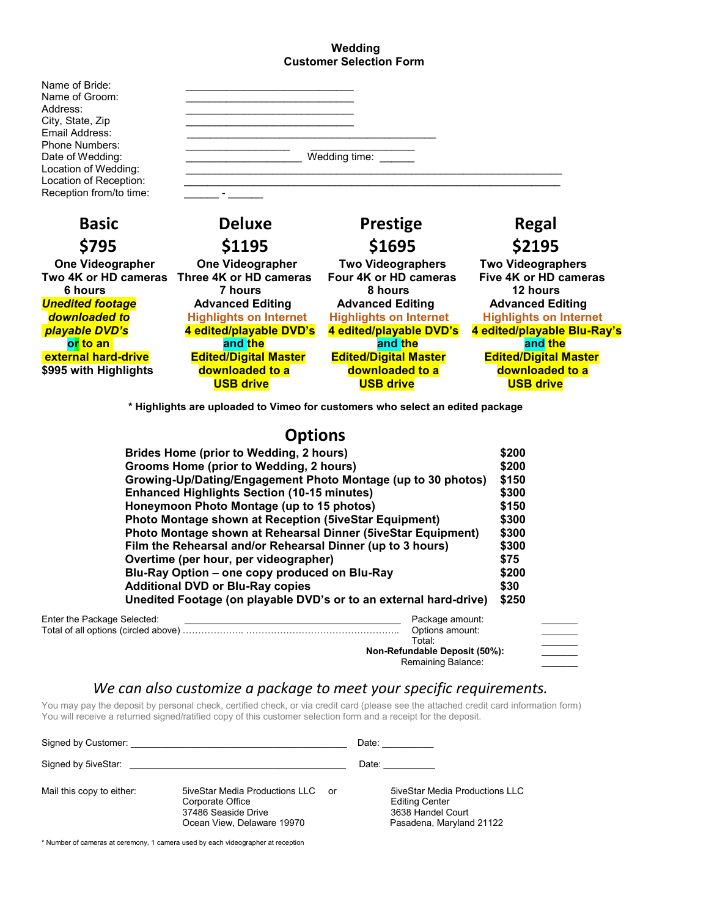#### **Wedding Customer Selection Form**



 **\* Highlights are uploaded to Vimeo for customers who select an edited package**

# **Options**

| Brides Home (prior to Wedding, 2 hours)                           | \$200                         |
|-------------------------------------------------------------------|-------------------------------|
| Grooms Home (prior to Wedding, 2 hours)                           | \$200                         |
| Growing-Up/Dating/Engagement Photo Montage (up to 30 photos)      | \$150                         |
| <b>Enhanced Highlights Section (10-15 minutes)</b>                | \$300                         |
| Honeymoon Photo Montage (up to 15 photos)                         | \$150                         |
| <b>Photo Montage shown at Reception (5iveStar Equipment)</b>      | \$300                         |
| Photo Montage shown at Rehearsal Dinner (5iveStar Equipment)      | \$300                         |
| Film the Rehearsal and/or Rehearsal Dinner (up to 3 hours)        | \$300                         |
| Overtime (per hour, per videographer)                             | \$75                          |
| Blu-Ray Option - one copy produced on Blu-Ray                     | \$200                         |
| <b>Additional DVD or Blu-Ray copies</b>                           | \$30                          |
| Unedited Footage (on playable DVD's or to an external hard-drive) | \$250                         |
| Enter the Package Selected:                                       | Package amount:               |
|                                                                   | Options amount:<br>Total:     |
|                                                                   | Non-Refundable Deposit (50%): |

Remaining Balance:

### *We can also customize a package to meet your specific requirements.*

You may pay the deposit by personal check, certified check, or via credit card (please see the attached credit card information form) You will receive a returned signed/ratified copy of this customer selection form and a receipt for the deposit.

| Signed by Customer:       |                                                                                                               | Date: |                                                                                                                 |
|---------------------------|---------------------------------------------------------------------------------------------------------------|-------|-----------------------------------------------------------------------------------------------------------------|
| Signed by 5iveStar:       |                                                                                                               | Date: |                                                                                                                 |
| Mail this copy to either: | 5iveStar Media Productions LLC<br>or<br>Corporate Office<br>37486 Seaside Drive<br>Ocean View, Delaware 19970 |       | <b>5iveStar Media Productions LLC</b><br><b>Editing Center</b><br>3638 Handel Court<br>Pasadena, Maryland 21122 |

\* Number of cameras at ceremony, 1 camera used by each videographer at reception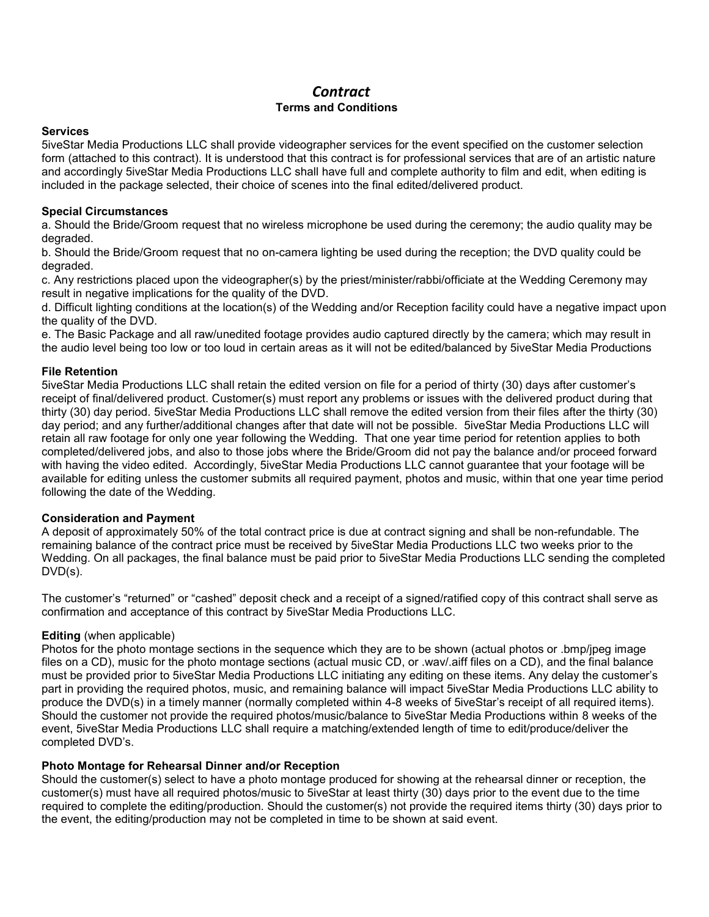# *Contract* **Terms and Conditions**

#### **Services**

5iveStar Media Productions LLC shall provide videographer services for the event specified on the customer selection form (attached to this contract). It is understood that this contract is for professional services that are of an artistic nature and accordingly 5iveStar Media Productions LLC shall have full and complete authority to film and edit, when editing is included in the package selected, their choice of scenes into the final edited/delivered product.

#### **Special Circumstances**

a. Should the Bride/Groom request that no wireless microphone be used during the ceremony; the audio quality may be degraded.

b. Should the Bride/Groom request that no on-camera lighting be used during the reception; the DVD quality could be degraded.

c. Any restrictions placed upon the videographer(s) by the priest/minister/rabbi/officiate at the Wedding Ceremony may result in negative implications for the quality of the DVD.

d. Difficult lighting conditions at the location(s) of the Wedding and/or Reception facility could have a negative impact upon the quality of the DVD.

e. The Basic Package and all raw/unedited footage provides audio captured directly by the camera; which may result in the audio level being too low or too loud in certain areas as it will not be edited/balanced by 5iveStar Media Productions

#### **File Retention**

5iveStar Media Productions LLC shall retain the edited version on file for a period of thirty (30) days after customer's receipt of final/delivered product. Customer(s) must report any problems or issues with the delivered product during that thirty (30) day period. 5iveStar Media Productions LLC shall remove the edited version from their files after the thirty (30) day period; and any further/additional changes after that date will not be possible. 5iveStar Media Productions LLC will retain all raw footage for only one year following the Wedding. That one year time period for retention applies to both completed/delivered jobs, and also to those jobs where the Bride/Groom did not pay the balance and/or proceed forward with having the video edited. Accordingly, 5iveStar Media Productions LLC cannot guarantee that your footage will be available for editing unless the customer submits all required payment, photos and music, within that one year time period following the date of the Wedding.

#### **Consideration and Payment**

A deposit of approximately 50% of the total contract price is due at contract signing and shall be non-refundable. The remaining balance of the contract price must be received by 5iveStar Media Productions LLC two weeks prior to the Wedding. On all packages, the final balance must be paid prior to 5iveStar Media Productions LLC sending the completed DVD(s).

The customer's "returned" or "cashed" deposit check and a receipt of a signed/ratified copy of this contract shall serve as confirmation and acceptance of this contract by 5iveStar Media Productions LLC.

#### **Editing** (when applicable)

Photos for the photo montage sections in the sequence which they are to be shown (actual photos or .bmp/jpeg image files on a CD), music for the photo montage sections (actual music CD, or .wav/.aiff files on a CD), and the final balance must be provided prior to 5iveStar Media Productions LLC initiating any editing on these items. Any delay the customer's part in providing the required photos, music, and remaining balance will impact 5iveStar Media Productions LLC ability to produce the DVD(s) in a timely manner (normally completed within 4-8 weeks of 5iveStar's receipt of all required items). Should the customer not provide the required photos/music/balance to 5iveStar Media Productions within 8 weeks of the event, 5iveStar Media Productions LLC shall require a matching/extended length of time to edit/produce/deliver the completed DVD's.

#### **Photo Montage for Rehearsal Dinner and/or Reception**

Should the customer(s) select to have a photo montage produced for showing at the rehearsal dinner or reception, the customer(s) must have all required photos/music to 5iveStar at least thirty (30) days prior to the event due to the time required to complete the editing/production. Should the customer(s) not provide the required items thirty (30) days prior to the event, the editing/production may not be completed in time to be shown at said event.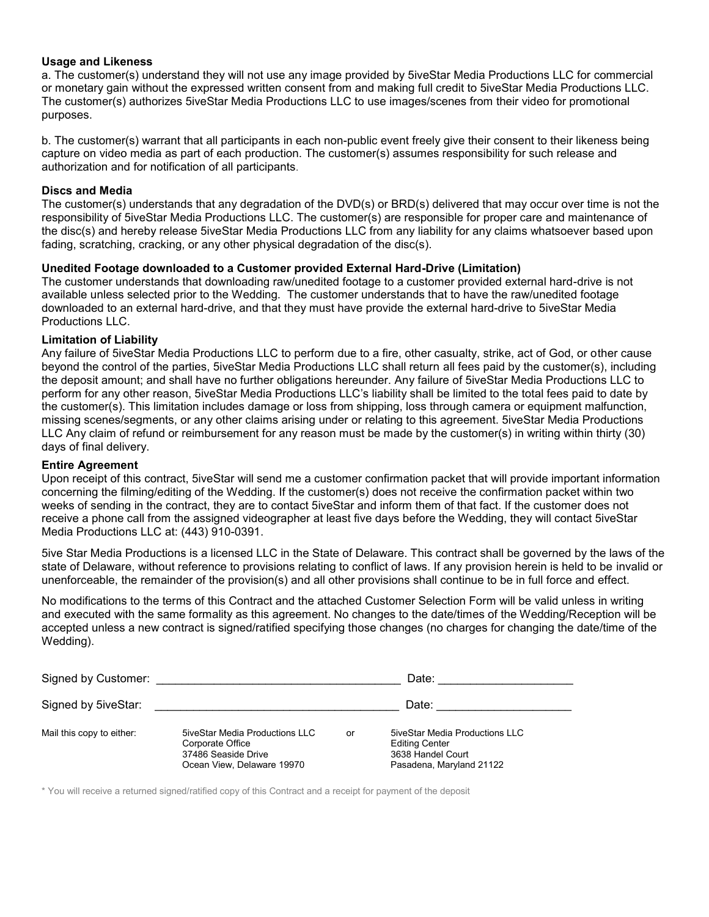#### **Usage and Likeness**

a. The customer(s) understand they will not use any image provided by 5iveStar Media Productions LLC for commercial or monetary gain without the expressed written consent from and making full credit to 5iveStar Media Productions LLC. The customer(s) authorizes 5iveStar Media Productions LLC to use images/scenes from their video for promotional purposes.

b. The customer(s) warrant that all participants in each non-public event freely give their consent to their likeness being capture on video media as part of each production. The customer(s) assumes responsibility for such release and authorization and for notification of all participants.

#### **Discs and Media**

The customer(s) understands that any degradation of the DVD(s) or BRD(s) delivered that may occur over time is not the responsibility of 5iveStar Media Productions LLC. The customer(s) are responsible for proper care and maintenance of the disc(s) and hereby release 5iveStar Media Productions LLC from any liability for any claims whatsoever based upon fading, scratching, cracking, or any other physical degradation of the disc(s).

#### **Unedited Footage downloaded to a Customer provided External Hard-Drive (Limitation)**

The customer understands that downloading raw/unedited footage to a customer provided external hard-drive is not available unless selected prior to the Wedding. The customer understands that to have the raw/unedited footage downloaded to an external hard-drive, and that they must have provide the external hard-drive to 5iveStar Media Productions LLC.

#### **Limitation of Liability**

Any failure of 5iveStar Media Productions LLC to perform due to a fire, other casualty, strike, act of God, or other cause beyond the control of the parties, 5iveStar Media Productions LLC shall return all fees paid by the customer(s), including the deposit amount; and shall have no further obligations hereunder. Any failure of 5iveStar Media Productions LLC to perform for any other reason, 5iveStar Media Productions LLC's liability shall be limited to the total fees paid to date by the customer(s). This limitation includes damage or loss from shipping, loss through camera or equipment malfunction, missing scenes/segments, or any other claims arising under or relating to this agreement. 5iveStar Media Productions LLC Any claim of refund or reimbursement for any reason must be made by the customer(s) in writing within thirty (30) days of final delivery.

#### **Entire Agreement**

Upon receipt of this contract, 5iveStar will send me a customer confirmation packet that will provide important information concerning the filming/editing of the Wedding. If the customer(s) does not receive the confirmation packet within two weeks of sending in the contract, they are to contact 5iveStar and inform them of that fact. If the customer does not receive a phone call from the assigned videographer at least five days before the Wedding, they will contact 5iveStar Media Productions LLC at: (443) 910-0391.

5ive Star Media Productions is a licensed LLC in the State of Delaware. This contract shall be governed by the laws of the state of Delaware, without reference to provisions relating to conflict of laws. If any provision herein is held to be invalid or unenforceable, the remainder of the provision(s) and all other provisions shall continue to be in full force and effect.

No modifications to the terms of this Contract and the attached Customer Selection Form will be valid unless in writing and executed with the same formality as this agreement. No changes to the date/times of the Wedding/Reception will be accepted unless a new contract is signed/ratified specifying those changes (no charges for changing the date/time of the Wedding).

| Signed by Customer:       |                                                                                                                |    | Date:                                                                                                           |
|---------------------------|----------------------------------------------------------------------------------------------------------------|----|-----------------------------------------------------------------------------------------------------------------|
| Signed by 5iveStar:       |                                                                                                                |    | Date:                                                                                                           |
| Mail this copy to either: | <b>5iveStar Media Productions LLC</b><br>Corporate Office<br>37486 Seaside Drive<br>Ocean View, Delaware 19970 | or | <b>5iveStar Media Productions LLC</b><br><b>Editing Center</b><br>3638 Handel Court<br>Pasadena, Maryland 21122 |

\* You will receive a returned signed/ratified copy of this Contract and a receipt for payment of the deposit